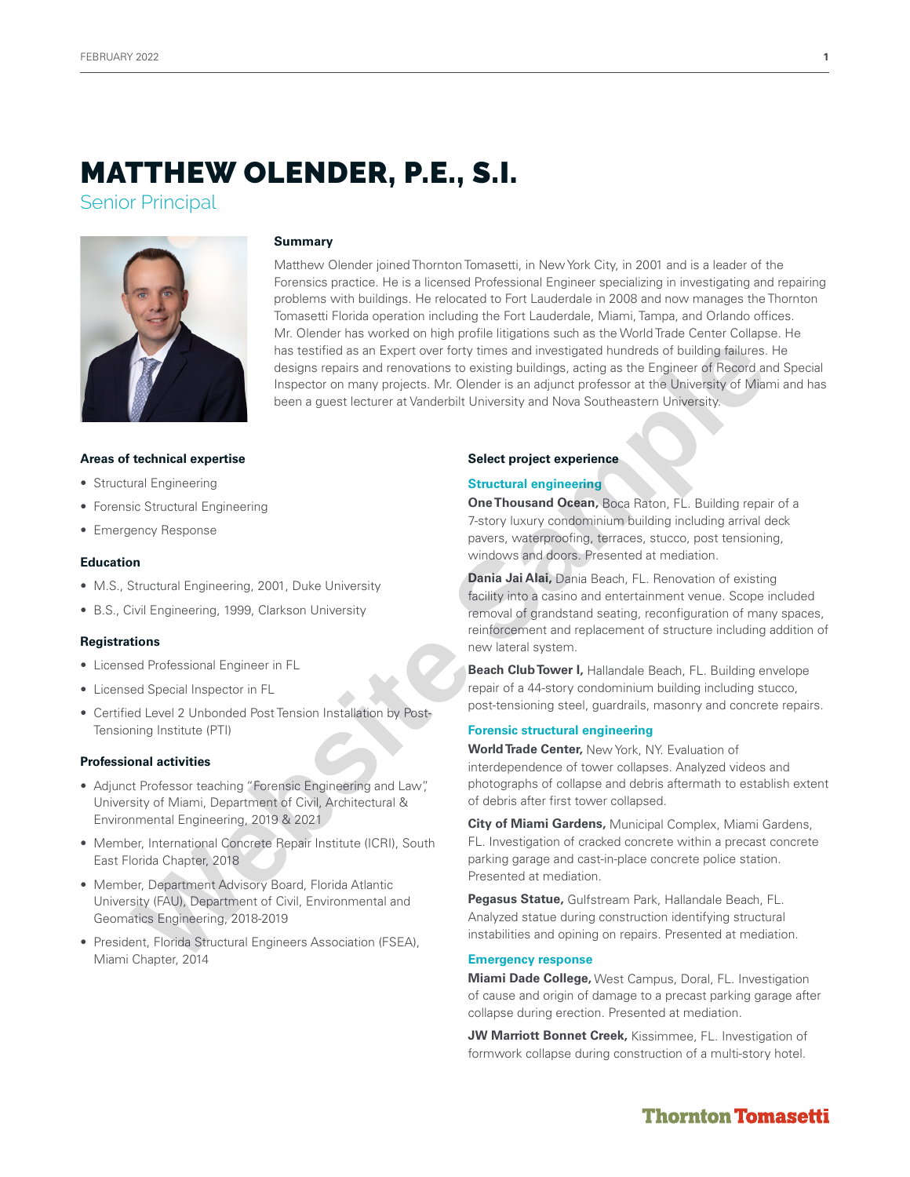Senior Principal



## **Summary**

Matthew Olender joined Thornton Tomasetti, in New York City, in 2001 and is a leader of the Forensics practice. He is a licensed Professional Engineer specializing in investigating and repairing problems with buildings. He relocated to Fort Lauderdale in 2008 and now manages the Thornton Tomasetti Florida operation including the Fort Lauderdale, Miami, Tampa, and Orlando offices. Mr. Olender has worked on high profile litigations such as the World Trade Center Collapse. He has testified as an Expert over forty times and investigated hundreds of building failures. He designs repairs and renovations to existing buildings, acting as the Engineer of Record and Special Inspector on many projects. Mr. Olender is an adjunct professor at the University of Miami and has been a guest lecturer at Vanderbilt University and Nova Southeastern University. Maximation as testified as an Expert one forty times and investigate functions in Subscripting functions and increase of the University<br>
Website Sample and the University of New Southeastern University<br>
International appro

## **Areas of technical expertise**

- Structural Engineering
- Forensic Structural Engineering
- Emergency Response

## **Education**

- M.S., Structural Engineering, 2001, Duke University
- B.S., Civil Engineering, 1999, Clarkson University

## **Registrations**

- Licensed Professional Engineer in FL
- Licensed Special Inspector in FL
- Certified Level 2 Unbonded Post Tension Installation by Post-Tensioning Institute (PTI)

## **Professional activities**

- Adjunct Professor teaching "Forensic Engineering and Law", University of Miami, Department of Civil, Architectural & Environmental Engineering, 2019 & 2021
- Member, International Concrete Repair Institute (ICRI), South East Florida Chapter, 2018
- Member, Department Advisory Board, Florida Atlantic University (FAU), Department of Civil, Environmental and Geomatics Engineering, 2018-2019
- President, Florida Structural Engineers Association (FSEA), Miami Chapter, 2014

## **Select project experience**

## **Structural engineering**

**One Thousand Ocean,** Boca Raton, FL. Building repair of a 7-story luxury condominium building including arrival deck pavers, waterproofing, terraces, stucco, post tensioning, windows and doors. Presented at mediation.

**Dania Jai Alai,** Dania Beach, FL. Renovation of existing facility into a casino and entertainment venue. Scope included removal of grandstand seating, reconfiguration of many spaces, reinforcement and replacement of structure including addition of new lateral system.

**Beach Club Tower I,** Hallandale Beach, FL. Building envelope repair of a 44-story condominium building including stucco, post-tensioning steel, guardrails, masonry and concrete repairs.

## **Forensic structural engineering**

**World Trade Center,** New York, NY. Evaluation of interdependence of tower collapses. Analyzed videos and photographs of collapse and debris aftermath to establish extent of debris after first tower collapsed.

**City of Miami Gardens,** Municipal Complex, Miami Gardens, FL. Investigation of cracked concrete within a precast concrete parking garage and cast-in-place concrete police station. Presented at mediation.

**Pegasus Statue,** Gulfstream Park, Hallandale Beach, FL. Analyzed statue during construction identifying structural instabilities and opining on repairs. Presented at mediation.

## **Emergency response**

**Miami Dade College,** West Campus, Doral, FL. Investigation of cause and origin of damage to a precast parking garage after collapse during erection. Presented at mediation.

**JW Marriott Bonnet Creek,** Kissimmee, FL. Investigation of formwork collapse during construction of a multi-story hotel.

# **Thornton Tomasetti**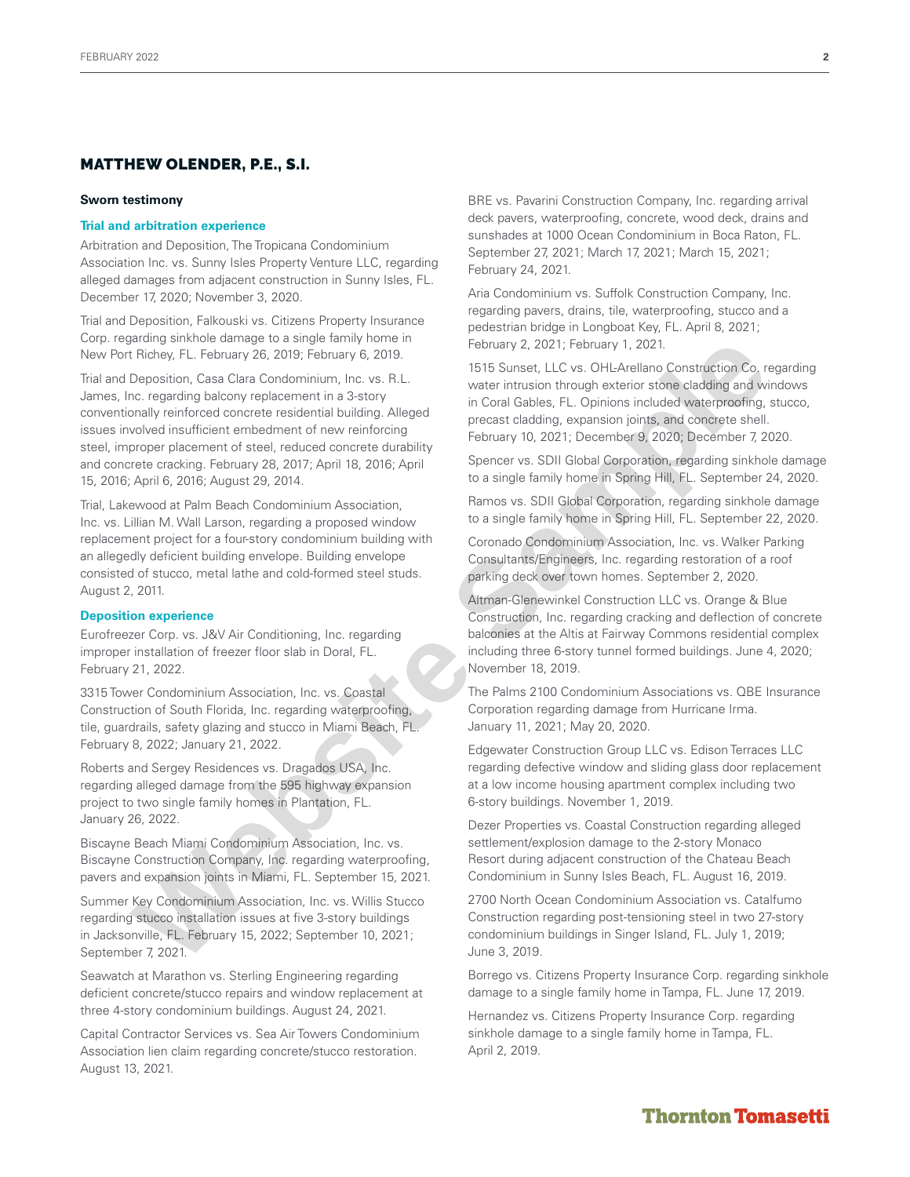#### **Sworn testimony**

#### **Trial and arbitration experience**

Arbitration and Deposition, The Tropicana Condominium Association Inc. vs. Sunny Isles Property Venture LLC, regarding alleged damages from adjacent construction in Sunny Isles, FL. December 17, 2020; November 3, 2020.

Trial and Deposition, Falkouski vs. Citizens Property Insurance Corp. regarding sinkhole damage to a single family home in New Port Richey, FL. February 26, 2019; February 6, 2019.

Trial and Deposition, Casa Clara Condominium, Inc. vs. R.L. James, Inc. regarding balcony replacement in a 3-story conventionally reinforced concrete residential building. Alleged issues involved insufficient embedment of new reinforcing steel, improper placement of steel, reduced concrete durability and concrete cracking. February 28, 2017; April 18, 2016; April 15, 2016; April 6, 2016; August 29, 2014. Andre and angle that when the mean the sample of the sample of the sample and and Conduction Co. (2011; February 20, 2013; February 20, 2013; February 20, 2013;<br>
Despite of Conduction Co. (and Conduction Co. view of the s

Trial, Lakewood at Palm Beach Condominium Association, Inc. vs. Lillian M. Wall Larson, regarding a proposed window replacement project for a four-story condominium building with an allegedly deficient building envelope. Building envelope consisted of stucco, metal lathe and cold-formed steel studs. August 2, 2011.

## **Deposition experience**

Eurofreezer Corp. vs. J&V Air Conditioning, Inc. regarding improper installation of freezer floor slab in Doral, FL. February 21, 2022.

3315 Tower Condominium Association, Inc. vs. Coastal Construction of South Florida, Inc. regarding waterproofing, tile, guardrails, safety glazing and stucco in Miami Beach, FL. February 8, 2022; January 21, 2022.

Roberts and Sergey Residences vs. Dragados USA, Inc. regarding alleged damage from the 595 highway expansion project to two single family homes in Plantation, FL. January 26, 2022.

Biscayne Beach Miami Condominium Association, Inc. vs. Biscayne Construction Company, Inc. regarding waterproofing, pavers and expansion joints in Miami, FL. September 15, 2021.

Summer Key Condominium Association, Inc. vs. Willis Stucco regarding stucco installation issues at five 3-story buildings in Jacksonville, FL. February 15, 2022; September 10, 2021; September 7, 2021.

Seawatch at Marathon vs. Sterling Engineering regarding deficient concrete/stucco repairs and window replacement at three 4-story condominium buildings. August 24, 2021.

Capital Contractor Services vs. Sea Air Towers Condominium Association lien claim regarding concrete/stucco restoration. August 13, 2021.

BRE vs. Pavarini Construction Company, Inc. regarding arrival deck pavers, waterproofing, concrete, wood deck, drains and sunshades at 1000 Ocean Condominium in Boca Raton, FL. September 27, 2021; March 17, 2021; March 15, 2021; February 24, 2021.

Aria Condominium vs. Suffolk Construction Company, Inc. regarding pavers, drains, tile, waterproofing, stucco and a pedestrian bridge in Longboat Key, FL. April 8, 2021; February 2, 2021; February 1, 2021.

1515 Sunset, LLC vs. OHL-Arellano Construction Co. regarding water intrusion through exterior stone cladding and windows in Coral Gables, FL. Opinions included waterproofing, stucco, precast cladding, expansion joints, and concrete shell. February 10, 2021; December 9, 2020; December 7, 2020.

Spencer vs. SDII Global Corporation, regarding sinkhole damage to a single family home in Spring Hill, FL. September 24, 2020.

Ramos vs. SDII Global Corporation, regarding sinkhole damage to a single family home in Spring Hill, FL. September 22, 2020.

Coronado Condominium Association, Inc. vs. Walker Parking Consultants/Engineers, Inc. regarding restoration of a roof parking deck over town homes. September 2, 2020.

Altman-Glenewinkel Construction LLC vs. Orange & Blue Construction, Inc. regarding cracking and deflection of concrete balconies at the Altis at Fairway Commons residential complex including three 6-story tunnel formed buildings. June 4, 2020; November 18, 2019.

The Palms 2100 Condominium Associations vs. QBE Insurance Corporation regarding damage from Hurricane Irma. January 11, 2021; May 20, 2020.

Edgewater Construction Group LLC vs. Edison Terraces LLC regarding defective window and sliding glass door replacement at a low income housing apartment complex including two 6-story buildings. November 1, 2019.

Dezer Properties vs. Coastal Construction regarding alleged settlement/explosion damage to the 2-story Monaco Resort during adjacent construction of the Chateau Beach Condominium in Sunny Isles Beach, FL. August 16, 2019.

2700 North Ocean Condominium Association vs. Catalfumo Construction regarding post-tensioning steel in two 27-story condominium buildings in Singer Island, FL. July 1, 2019; June 3, 2019.

Borrego vs. Citizens Property Insurance Corp. regarding sinkhole damage to a single family home in Tampa, FL. June 17, 2019.

Hernandez vs. Citizens Property Insurance Corp. regarding sinkhole damage to a single family home in Tampa, FL. April 2, 2019.

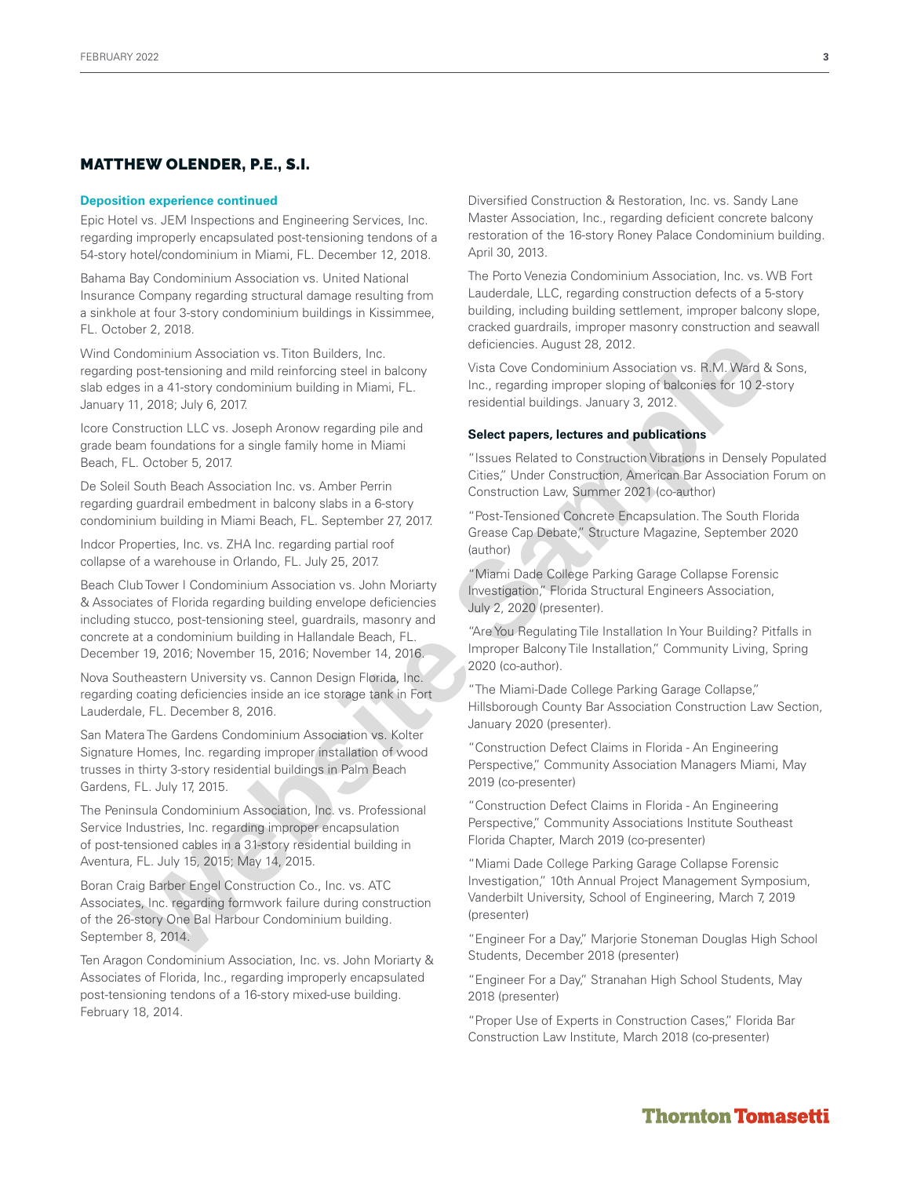## **Deposition experience continued**

Epic Hotel vs. JEM Inspections and Engineering Services, Inc. regarding improperly encapsulated post-tensioning tendons of a 54-story hotel/condominium in Miami, FL. December 12, 2018.

Bahama Bay Condominium Association vs. United National Insurance Company regarding structural damage resulting from a sinkhole at four 3-story condominium buildings in Kissimmee, FL. October 2, 2018.

Wind Condominium Association vs. Titon Builders, Inc. regarding post-tensioning and mild reinforcing steel in balcony slab edges in a 41-story condominium building in Miami, FL. January 11, 2018; July 6, 2017.

Icore Construction LLC vs. Joseph Aronow regarding pile and grade beam foundations for a single family home in Miami Beach, FL. October 5, 2017.

De Soleil South Beach Association Inc. vs. Amber Perrin regarding guardrail embedment in balcony slabs in a 6-story condominium building in Miami Beach, FL. September 27, 2017.

Indcor Properties, Inc. vs. ZHA Inc. regarding partial roof collapse of a warehouse in Orlando, FL. July 25, 2017.

Beach Club Tower I Condominium Association vs. John Moriarty & Associates of Florida regarding building envelope deficiencies including stucco, post-tensioning steel, guardrails, masonry and concrete at a condominium building in Hallandale Beach, FL. December 19, 2016; November 15, 2016; November 14, 2016. ndominium Association vs Titon Builders, Inc. of efferences. August 78, 2012<br>
Inc. regarding mini differences in a 41-story condominium building in Memi, FL.<br>
11, 2018, July 8, 2017, 2018, 100 and the firstname and the fir

Nova Southeastern University vs. Cannon Design Florida, Inc. regarding coating deficiencies inside an ice storage tank in Fort Lauderdale, FL. December 8, 2016.

San Matera The Gardens Condominium Association vs. Kolter Signature Homes, Inc. regarding improper installation of wood trusses in thirty 3-story residential buildings in Palm Beach Gardens, FL. July 17, 2015.

The Peninsula Condominium Association, Inc. vs. Professional Service Industries, Inc. regarding improper encapsulation of post-tensioned cables in a 31-story residential building in Aventura, FL. July 15, 2015; May 14, 2015.

Boran Craig Barber Engel Construction Co., Inc. vs. ATC Associates, Inc. regarding formwork failure during construction of the 26-story One Bal Harbour Condominium building. September 8, 2014.

Ten Aragon Condominium Association, Inc. vs. John Moriarty & Associates of Florida, Inc., regarding improperly encapsulated post-tensioning tendons of a 16-story mixed-use building. February 18, 2014.

Diversified Construction & Restoration, Inc. vs. Sandy Lane Master Association, Inc., regarding deficient concrete balcony restoration of the 16-story Roney Palace Condominium building. April 30, 2013.

The Porto Venezia Condominium Association, Inc. vs. WB Fort Lauderdale, LLC, regarding construction defects of a 5-story building, including building settlement, improper balcony slope, cracked guardrails, improper masonry construction and seawall deficiencies. August 28, 2012.

Vista Cove Condominium Association vs. R.M. Ward & Sons, Inc., regarding improper sloping of balconies for 10 2-story residential buildings. January 3, 2012.

## **Select papers, lectures and publications**

"Issues Related to Construction Vibrations in Densely Populated Cities," Under Construction, American Bar Association Forum on Construction Law, Summer 2021 (co-author)

"Post-Tensioned Concrete Encapsulation. The South Florida Grease Cap Debate," Structure Magazine, September 2020 (author)

"Miami Dade College Parking Garage Collapse Forensic Investigation," Florida Structural Engineers Association, July 2, 2020 (presenter).

"Are You Regulating Tile Installation In Your Building? Pitfalls in Improper Balcony Tile Installation," Community Living, Spring 2020 (co-author).

"The Miami-Dade College Parking Garage Collapse," Hillsborough County Bar Association Construction Law Section, January 2020 (presenter).

"Construction Defect Claims in Florida - An Engineering Perspective," Community Association Managers Miami, May 2019 (co-presenter)

"Construction Defect Claims in Florida - An Engineering Perspective," Community Associations Institute Southeast Florida Chapter, March 2019 (co-presenter)

"Miami Dade College Parking Garage Collapse Forensic Investigation," 10th Annual Project Management Symposium, Vanderbilt University, School of Engineering, March 7, 2019 (presenter)

"Engineer For a Day," Marjorie Stoneman Douglas High School Students, December 2018 (presenter)

"Engineer For a Day," Stranahan High School Students, May 2018 (presenter)

"Proper Use of Experts in Construction Cases," Florida Bar Construction Law Institute, March 2018 (co-presenter)